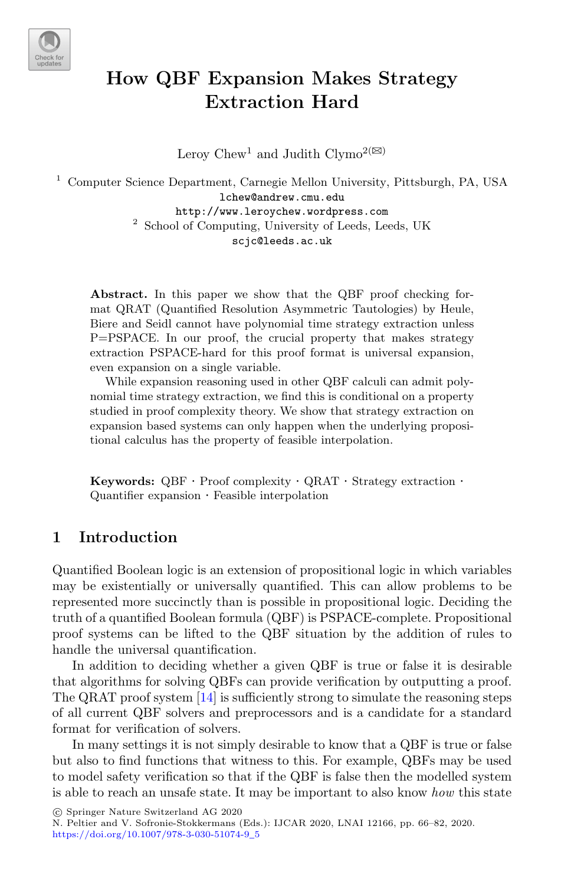

# **How QBF Expansion Makes Strategy Extraction Hard**

Leroy Chew<sup>1</sup> and Judith Clymo<sup>2( $\boxtimes$ )</sub></sup>

<sup>1</sup> Computer Science Department, Carnegie Mellon University, Pittsburgh, PA, USA lchew@andrew.cmu.edu http://www.leroychew.wordpress.com  $^2\,$  School of Computing, University of Leeds, Leeds, UK scjc@leeds.ac.uk

**Abstract.** In this paper we show that the QBF proof checking format QRAT (Quantified Resolution Asymmetric Tautologies) by Heule, Biere and Seidl cannot have polynomial time strategy extraction unless P=PSPACE. In our proof, the crucial property that makes strategy extraction PSPACE-hard for this proof format is universal expansion, even expansion on a single variable.

While expansion reasoning used in other QBF calculi can admit polynomial time strategy extraction, we find this is conditional on a property studied in proof complexity theory. We show that strategy extraction on expansion based systems can only happen when the underlying propositional calculus has the property of feasible interpolation.

**Keywords:** QBF · Proof complexity · QRAT · Strategy extraction · Quantifier expansion · Feasible interpolation

# **1 Introduction**

Quantified Boolean logic is an extension of propositional logic in which variables may be existentially or universally quantified. This can allow problems to be represented more succinctly than is possible in propositional logic. Deciding the truth of a quantified Boolean formula (QBF) is PSPACE-complete. Propositional proof systems can be lifted to the QBF situation by the addition of rules to handle the universal quantification.

In addition to deciding whether a given QBF is true or false it is desirable that algorithms for solving QBFs can provide verification by outputting a proof. The QRAT proof system [\[14\]](#page-15-0) is sufficiently strong to simulate the reasoning steps of all current QBF solvers and preprocessors and is a candidate for a standard format for verification of solvers.

In many settings it is not simply desirable to know that a QBF is true or false but also to find functions that witness to this. For example, QBFs may be used to model safety verification so that if the QBF is false then the modelled system is able to reach an unsafe state. It may be important to also know *how* this state

-c Springer Nature Switzerland AG 2020

N. Peltier and V. Sofronie-Stokkermans (Eds.): IJCAR 2020, LNAI 12166, pp. 66–82, 2020. [https://doi.org/10.1007/978-3-030-51074-9](https://doi.org/10.1007/978-3-030-51074-9_5)\_5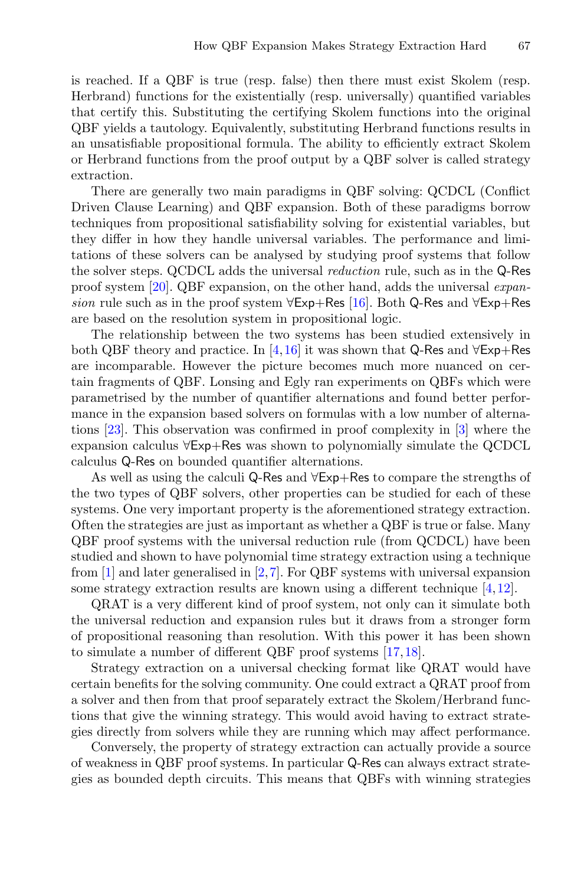is reached. If a QBF is true (resp. false) then there must exist Skolem (resp. Herbrand) functions for the existentially (resp. universally) quantified variables that certify this. Substituting the certifying Skolem functions into the original QBF yields a tautology. Equivalently, substituting Herbrand functions results in an unsatisfiable propositional formula. The ability to efficiently extract Skolem or Herbrand functions from the proof output by a QBF solver is called strategy extraction.

There are generally two main paradigms in QBF solving: QCDCL (Conflict Driven Clause Learning) and QBF expansion. Both of these paradigms borrow techniques from propositional satisfiability solving for existential variables, but they differ in how they handle universal variables. The performance and limitations of these solvers can be analysed by studying proof systems that follow the solver steps. QCDCL adds the universal *reduction* rule, such as in the Q-Res proof system [\[20\]](#page-16-0). QBF expansion, on the other hand, adds the universal *expansion* rule such as in the proof system ∀Exp+Res [\[16](#page-16-1)]. Both Q-Res and ∀Exp+Res are based on the resolution system in propositional logic.

The relationship between the two systems has been studied extensively in both QBF theory and practice. In [\[4](#page-15-1)[,16\]](#page-16-1) it was shown that Q-Res and  $\forall$ Exp+Res are incomparable. However the picture becomes much more nuanced on certain fragments of QBF. Lonsing and Egly ran experiments on QBFs which were parametrised by the number of quantifier alternations and found better performance in the expansion based solvers on formulas with a low number of alternations [\[23\]](#page-16-2). This observation was confirmed in proof complexity in [\[3](#page-15-2)] where the expansion calculus ∀Exp+Res was shown to polynomially simulate the QCDCL calculus Q-Res on bounded quantifier alternations.

As well as using the calculi Q-Res and ∀Exp+Res to compare the strengths of the two types of QBF solvers, other properties can be studied for each of these systems. One very important property is the aforementioned strategy extraction. Often the strategies are just as important as whether a QBF is true or false. Many QBF proof systems with the universal reduction rule (from QCDCL) have been studied and shown to have polynomial time strategy extraction using a technique from  $[1]$  $[1]$  and later generalised in  $[2,7]$  $[2,7]$ . For QBF systems with universal expansion some strategy extraction results are known using a different technique [\[4,](#page-15-1)[12](#page-15-6)].

QRAT is a very different kind of proof system, not only can it simulate both the universal reduction and expansion rules but it draws from a stronger form of propositional reasoning than resolution. With this power it has been shown to simulate a number of different QBF proof systems [\[17](#page-16-3),[18\]](#page-16-4).

Strategy extraction on a universal checking format like QRAT would have certain benefits for the solving community. One could extract a QRAT proof from a solver and then from that proof separately extract the Skolem/Herbrand functions that give the winning strategy. This would avoid having to extract strategies directly from solvers while they are running which may affect performance.

Conversely, the property of strategy extraction can actually provide a source of weakness in QBF proof systems. In particular Q-Res can always extract strategies as bounded depth circuits. This means that QBFs with winning strategies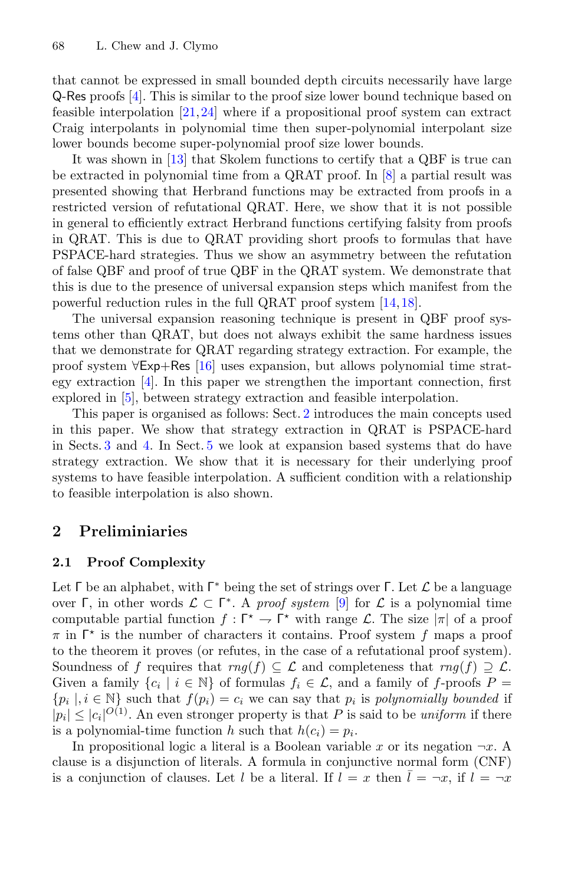that cannot be expressed in small bounded depth circuits necessarily have large Q-Res proofs [\[4](#page-15-1)]. This is similar to the proof size lower bound technique based on feasible interpolation [\[21](#page-16-5)[,24](#page-16-6)] where if a propositional proof system can extract Craig interpolants in polynomial time then super-polynomial interpolant size lower bounds become super-polynomial proof size lower bounds.

It was shown in [\[13](#page-15-7)] that Skolem functions to certify that a QBF is true can be extracted in polynomial time from a QRAT proof. In [\[8](#page-15-8)] a partial result was presented showing that Herbrand functions may be extracted from proofs in a restricted version of refutational QRAT. Here, we show that it is not possible in general to efficiently extract Herbrand functions certifying falsity from proofs in QRAT. This is due to QRAT providing short proofs to formulas that have PSPACE-hard strategies. Thus we show an asymmetry between the refutation of false QBF and proof of true QBF in the QRAT system. We demonstrate that this is due to the presence of universal expansion steps which manifest from the powerful reduction rules in the full QRAT proof system [\[14](#page-15-0)[,18](#page-16-4)].

The universal expansion reasoning technique is present in QBF proof systems other than QRAT, but does not always exhibit the same hardness issues that we demonstrate for QRAT regarding strategy extraction. For example, the proof system ∀Exp+Res [\[16\]](#page-16-1) uses expansion, but allows polynomial time strategy extraction [\[4\]](#page-15-1). In this paper we strengthen the important connection, first explored in [\[5\]](#page-15-9), between strategy extraction and feasible interpolation.

This paper is organised as follows: Sect. [2](#page-2-0) introduces the main concepts used in this paper. We show that strategy extraction in QRAT is PSPACE-hard in Sects. [3](#page-7-0) and [4.](#page-10-0) In Sect. [5](#page-11-0) we look at expansion based systems that do have strategy extraction. We show that it is necessary for their underlying proof systems to have feasible interpolation. A sufficient condition with a relationship to feasible interpolation is also shown.

# <span id="page-2-0"></span>**2 Preliminiaries**

#### **2.1 Proof Complexity**

Let  $\Gamma$  be an alphabet, with  $\Gamma^*$  being the set of strings over  $\Gamma$ . Let  $\mathcal L$  be a language over Γ, in other words L ⊂ Γ∗. A *proof system* [\[9](#page-15-10)] for L is a polynomial time computable partial function  $f: \Gamma^* \to \Gamma^*$  with range  $\mathcal{L}$ . The size  $|\pi|$  of a proof  $\pi$  in  $\Gamma^*$  is the number of characters it contains. Proof system f maps a proof to the theorem it proves (or refutes, in the case of a refutational proof system). Soundness of f requires that  $rng(f) \subseteq \mathcal{L}$  and completeness that  $rng(f) \supseteq \mathcal{L}$ . Given a family  $\{c_i \mid i \in \mathbb{N}\}\$  of formulas  $f_i \in \mathcal{L}$ , and a family of f-proofs  $P =$  ${p_i |, i \in \mathbb{N}}$  such that  $f(p_i) = c_i$  we can say that  $p_i$  is *polynomially bounded* if  $|p_i| \leq |c_i|^{O(1)}$ . An even stronger property is that P is said to be *uniform* if there is a polynomial-time function h such that  $h(c_i) = p_i$ .

In propositional logic a literal is a Boolean variable x or its negation  $\neg x$ . A clause is a disjunction of literals. A formula in conjunctive normal form (CNF) is a conjunction of clauses. Let l be a literal. If  $l = x$  then  $\overline{l} = \neg x$ , if  $l = \neg x$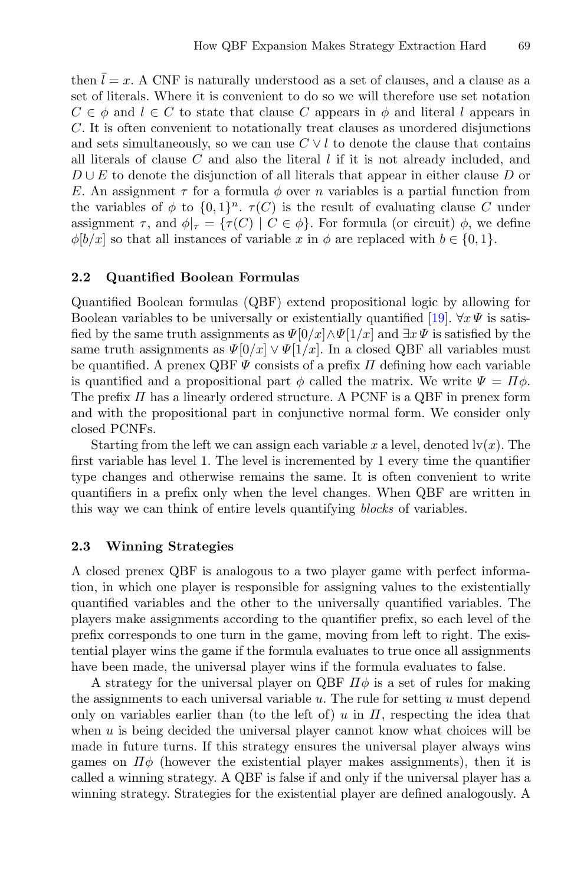then  $\overline{l} = x$ . A CNF is naturally understood as a set of clauses, and a clause as a set of literals. Where it is convenient to do so we will therefore use set notation  $C \in \phi$  and  $l \in C$  to state that clause C appears in  $\phi$  and literal l appears in C. It is often convenient to notationally treat clauses as unordered disjunctions and sets simultaneously, so we can use  $C \vee l$  to denote the clause that contains all literals of clause  $C$  and also the literal  $l$  if it is not already included, and  $D \cup E$  to denote the disjunction of all literals that appear in either clause D or E. An assignment  $\tau$  for a formula  $\phi$  over n variables is a partial function from the variables of  $\phi$  to  $\{0,1\}^n$ .  $\tau(C)$  is the result of evaluating clause C under assignment  $\tau$ , and  $\phi|_{\tau} = {\tau(C) | C \in \phi}$ . For formula (or circuit)  $\phi$ , we define  $\phi[b/x]$  so that all instances of variable x in  $\phi$  are replaced with  $b \in \{0, 1\}$ .

#### **2.2 Quantified Boolean Formulas**

Quantified Boolean formulas (QBF) extend propositional logic by allowing for Boolean variables to be universally or existentially quantified [\[19\]](#page-16-7).  $\forall x \Psi$  is satisfied by the same truth assignments as  $\Psi[0/x] \wedge \Psi[1/x]$  and  $\exists x \Psi$  is satisfied by the same truth assignments as  $\Psi[0/x] \vee \Psi[1/x]$ . In a closed QBF all variables must be quantified. A prenex QBF  $\Psi$  consists of a prefix  $\Pi$  defining how each variable is quantified and a propositional part  $\phi$  called the matrix. We write  $\Psi = \Pi \phi$ . The prefix  $\Pi$  has a linearly ordered structure. A PCNF is a QBF in prenex form and with the propositional part in conjunctive normal form. We consider only closed PCNFs.

Starting from the left we can assign each variable x a level, denoted  $\text{lv}(x)$ . The first variable has level 1. The level is incremented by 1 every time the quantifier type changes and otherwise remains the same. It is often convenient to write quantifiers in a prefix only when the level changes. When QBF are written in this way we can think of entire levels quantifying *blocks* of variables.

#### **2.3 Winning Strategies**

A closed prenex QBF is analogous to a two player game with perfect information, in which one player is responsible for assigning values to the existentially quantified variables and the other to the universally quantified variables. The players make assignments according to the quantifier prefix, so each level of the prefix corresponds to one turn in the game, moving from left to right. The existential player wins the game if the formula evaluates to true once all assignments have been made, the universal player wins if the formula evaluates to false.

A strategy for the universal player on QBF  $\Pi\phi$  is a set of rules for making the assignments to each universal variable  $u$ . The rule for setting  $u$  must depend only on variables earlier than (to the left of) u in  $\Pi$ , respecting the idea that when  $u$  is being decided the universal player cannot know what choices will be made in future turns. If this strategy ensures the universal player always wins games on  $\Pi\phi$  (however the existential player makes assignments), then it is called a winning strategy. A QBF is false if and only if the universal player has a winning strategy. Strategies for the existential player are defined analogously. A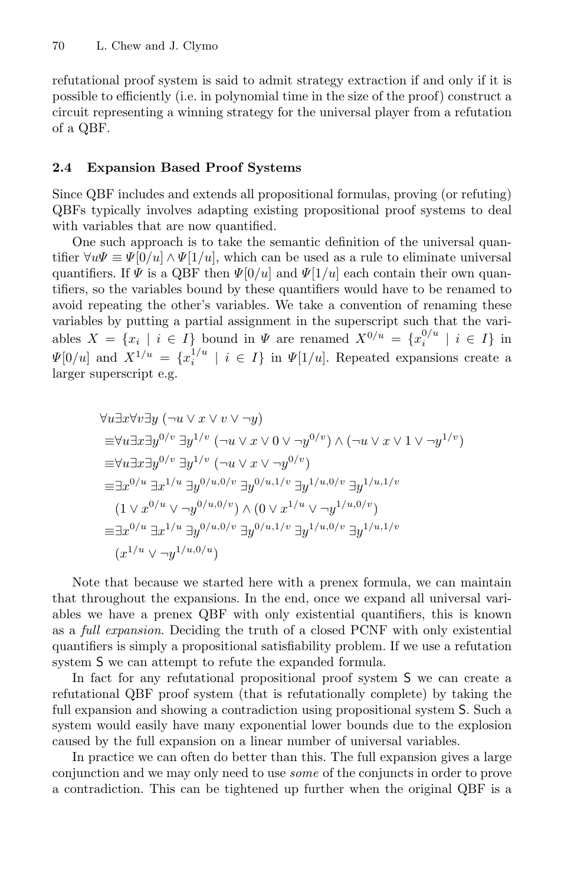refutational proof system is said to admit strategy extraction if and only if it is possible to efficiently (i.e. in polynomial time in the size of the proof) construct a circuit representing a winning strategy for the universal player from a refutation of a QBF.

#### **2.4 Expansion Based Proof Systems**

Since QBF includes and extends all propositional formulas, proving (or refuting) QBFs typically involves adapting existing propositional proof systems to deal with variables that are now quantified.

One such approach is to take the semantic definition of the universal quantifier  $\forall u \Psi \equiv \Psi[0/u] \wedge \Psi[1/u]$ , which can be used as a rule to eliminate universal quantifiers. If  $\Psi$  is a QBF then  $\Psi[0/u]$  and  $\Psi[1/u]$  each contain their own quantifiers, so the variables bound by these quantifiers would have to be renamed to avoid repeating the other's variables. We take a convention of renaming these variables by putting a partial assignment in the superscript such that the variables  $X = \{x_i \mid i \in I\}$  bound in  $\Psi$  are renamed  $X^{0/u} = \{x_i^{0/u} \mid i \in I\}$  in  $\Psi[0/u]$  and  $X^{1/u} = \{x_i^{1/u} \mid i \in I\}$  in  $\Psi[1/u]$ . Repeated expansions create a larger superscript e.g.

$$
\forall u \exists x \forall v \exists y (\neg u \lor x \lor v \lor \neg y)
$$
  
\n
$$
\equiv \forall u \exists x \exists y^{0/v} \exists y^{1/v} (\neg u \lor x \lor 0 \lor \neg y^{0/v}) \land (\neg u \lor x \lor 1 \lor \neg y^{1/v})
$$
  
\n
$$
\equiv \forall u \exists x \exists y^{0/v} \exists y^{1/v} (\neg u \lor x \lor \neg y^{0/v})
$$
  
\n
$$
\equiv \exists x^{0/u} \exists x^{1/u} \exists y^{0/u,0/v} \exists y^{0/u,1/v} \exists y^{1/u,0/v} \exists y^{1/u,1/v}
$$
  
\n
$$
(1 \lor x^{0/u} \lor \neg y^{0/u,0/v}) \land (0 \lor x^{1/u} \lor \neg y^{1/u,0/v})
$$
  
\n
$$
\equiv \exists x^{0/u} \exists x^{1/u} \exists y^{0/u,0/v} \exists y^{0/u,1/v} \exists y^{1/u,0/v} \exists y^{1/u,1/v}
$$
  
\n
$$
(x^{1/u} \lor \neg y^{1/u,0/u})
$$

Note that because we started here with a prenex formula, we can maintain that throughout the expansions. In the end, once we expand all universal variables we have a prenex QBF with only existential quantifiers, this is known as a *full expansion*. Deciding the truth of a closed PCNF with only existential quantifiers is simply a propositional satisfiability problem. If we use a refutation system S we can attempt to refute the expanded formula.

In fact for any refutational propositional proof system S we can create a refutational QBF proof system (that is refutationally complete) by taking the full expansion and showing a contradiction using propositional system S. Such a system would easily have many exponential lower bounds due to the explosion caused by the full expansion on a linear number of universal variables.

In practice we can often do better than this. The full expansion gives a large conjunction and we may only need to use *some* of the conjuncts in order to prove a contradiction. This can be tightened up further when the original QBF is a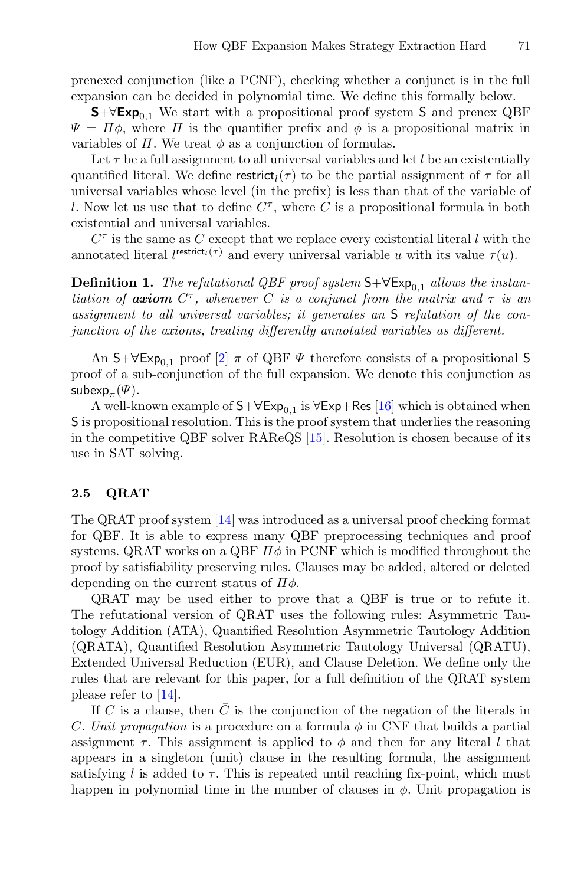prenexed conjunction (like a PCNF), checking whether a conjunct is in the full expansion can be decided in polynomial time. We define this formally below.

**S**+ $\forall$ **Exp**<sub>0.1</sub> We start with a propositional proof system S and prenex QBF  $\Psi = \Pi \phi$ , where  $\Pi$  is the quantifier prefix and  $\phi$  is a propositional matrix in variables of  $\Pi$ . We treat  $\phi$  as a conjunction of formulas.

Let  $\tau$  be a full assignment to all universal variables and let l be an existentially quantified literal. We define restrict<sub>l</sub>( $\tau$ ) to be the partial assignment of  $\tau$  for all universal variables whose level (in the prefix) is less than that of the variable of l. Now let us use that to define  $C^{\tau}$ , where C is a propositional formula in both existential and universal variables.

<span id="page-5-0"></span> $C^{\tau}$  is the same as C except that we replace every existential literal l with the annotated literal  $l^{\mathsf{restrict}_l(\tau)}$  and every universal variable u with its value  $\tau(u)$ .

**Definition 1.** *The refutational QBF proof system*  $S + \forall E \times p_{0,1}$  *allows the instantiation of axiom*  $C^{\tau}$ *, whenever* C *is a conjunct from the matrix and*  $\tau$  *is an assignment to all universal variables; it generates an* S *refutation of the conjunction of the axioms, treating differently annotated variables as different.*

An  $S+\forall E \times p_{0,1}$  proof [\[2](#page-15-4)]  $\pi$  of QBF  $\Psi$  therefore consists of a propositional S proof of a sub-conjunction of the full expansion. We denote this conjunction as subexp<sub>π</sub> $(\Psi)$ .

A well-known example of S+ $\forall E \times p_{0,1}$  is  $\forall E \times p +$ Res [\[16\]](#page-16-1) which is obtained when S is propositional resolution. This is the proof system that underlies the reasoning in the competitive QBF solver RAReQS [\[15\]](#page-15-11). Resolution is chosen because of its use in SAT solving.

#### **2.5 QRAT**

The QRAT proof system [\[14](#page-15-0)] was introduced as a universal proof checking format for QBF. It is able to express many QBF preprocessing techniques and proof systems. QRAT works on a QBF  $\Pi\phi$  in PCNF which is modified throughout the proof by satisfiability preserving rules. Clauses may be added, altered or deleted depending on the current status of  $\Pi\phi$ .

QRAT may be used either to prove that a QBF is true or to refute it. The refutational version of QRAT uses the following rules: Asymmetric Tautology Addition (ATA), Quantified Resolution Asymmetric Tautology Addition (QRATA), Quantified Resolution Asymmetric Tautology Universal (QRATU), Extended Universal Reduction (EUR), and Clause Deletion. We define only the rules that are relevant for this paper, for a full definition of the QRAT system please refer to [\[14\]](#page-15-0).

If C is a clause, then  $\overline{C}$  is the conjunction of the negation of the literals in C. *Unit propagation* is a procedure on a formula  $\phi$  in CNF that builds a partial assignment  $\tau$ . This assignment is applied to  $\phi$  and then for any literal l that appears in a singleton (unit) clause in the resulting formula, the assignment satisfying l is added to  $\tau$ . This is repeated until reaching fix-point, which must happen in polynomial time in the number of clauses in  $\phi$ . Unit propagation is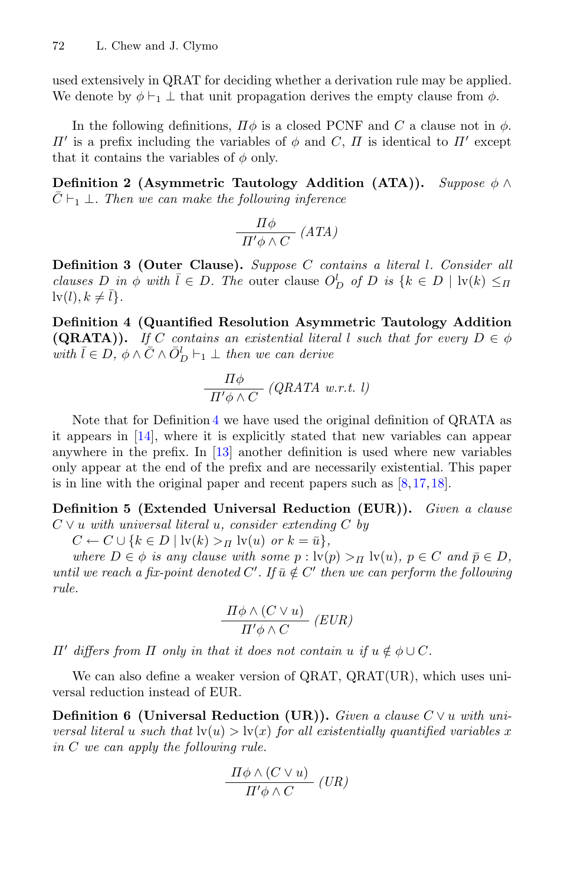used extensively in QRAT for deciding whether a derivation rule may be applied. We denote by  $\phi \vdash_1 \bot$  that unit propagation derives the empty clause from  $\phi$ .

In the following definitions,  $\Pi \phi$  is a closed PCNF and C a clause not in  $\phi$ .  $\Pi'$  is a prefix including the variables of  $\phi$  and C,  $\Pi$  is identical to  $\Pi'$  except that it contains the variables of  $\phi$  only.

**Definition 2 (Asymmetric Tautology Addition (ATA)).** *Suppose* φ ∧  $\bar{C} \vdash_1 \bot$ . Then we can make the following inference

$$
\frac{\Pi\phi}{\Pi'\phi\wedge C} (ATA)
$$

**Definition 3 (Outer Clause).** *Suppose* C *contains a literal* l*. Consider all clauses*  $D$  *in*  $\phi$  *with*  $\overline{l} \in D$ . The outer clause  $O_D^l$  *of*  $D$  *is*  $\{k \in D \mid \text{lv}(k) \leq n\}$  $\mathrm{lv}(l), k \neq \overline{l}\}.$ 

<span id="page-6-0"></span>**Definition 4 (Quantified Resolution Asymmetric Tautology Addition (QRATA)).** *If* C contains an existential literal l such that for every  $D \in \phi$  $with \bar{l} \in D, \phi \wedge \bar{C} \wedge \bar{O}_D^l \vdash_1 \bot then we can derive$ 

$$
\frac{\Pi\phi}{\Pi'\phi\wedge C} (QRATA \ w.r.t. \ l)
$$

Note that for Definition [4](#page-6-0) we have used the original definition of QRATA as it appears in [\[14](#page-15-0)], where it is explicitly stated that new variables can appear anywhere in the prefix. In [\[13\]](#page-15-7) another definition is used where new variables only appear at the end of the prefix and are necessarily existential. This paper is in line with the original paper and recent papers such as  $[8,17,18]$  $[8,17,18]$  $[8,17,18]$  $[8,17,18]$ .

<span id="page-6-1"></span>**Definition 5 (Extended Universal Reduction (EUR)).** *Given a clause* C ∨ u *with universal literal* u*, consider extending* C *by*

 $C \leftarrow C \cup \{k \in D \mid \mathrm{lv}(k) > \mathrm{lv}(u) \text{ or } k = \bar{u}\},$ 

*where*  $D \in \phi$  *is any clause with some*  $p : \text{lv}(p) > \text{vl}(u)$ *,*  $p \in C$  *and*  $\overline{p} \in D$ *, until we reach a fix-point denoted*  $C'$ *. If*  $\bar{u} \notin C'$  *then we can perform the following rule.*

$$
\frac{\Pi \phi \wedge (C \vee u)}{\Pi' \phi \wedge C} \ (EUR)
$$

 $\Pi'$  differs from  $\Pi$  only in that it does not contain u if  $u \notin φ ∪ C$ .

We can also define a weaker version of QRAT, QRAT(UR), which uses universal reduction instead of EUR.

**Definition 6 (Universal Reduction (UR)).** *Given a clause* C ∨ u *with universal literal* u *such that*  $\text{lv}(u) > \text{lv}(x)$  *for all existentially quantified variables* x *in* C *we can apply the following rule.*

$$
\frac{\Pi \phi \wedge (C \vee u)}{\Pi' \phi \wedge C} \ (UR)
$$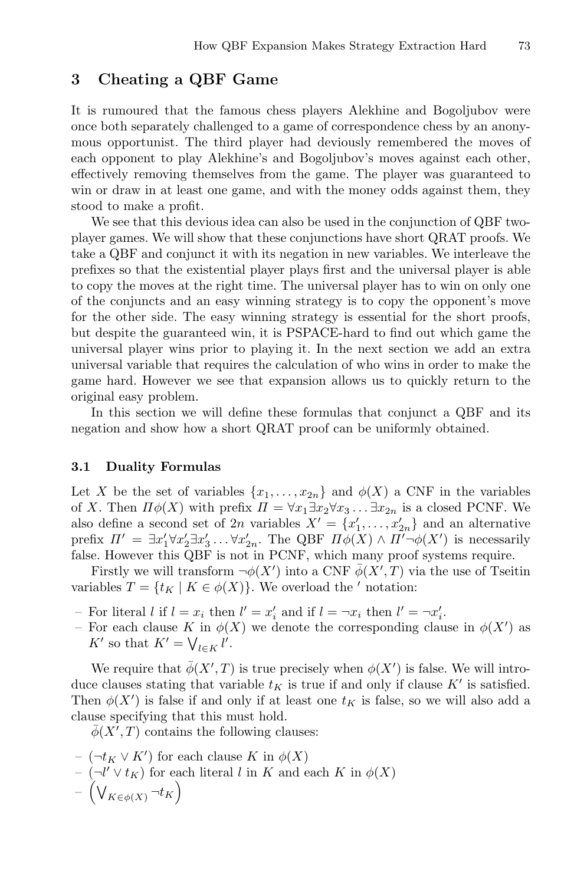# <span id="page-7-0"></span>**3 Cheating a QBF Game**

It is rumoured that the famous chess players Alekhine and Bogoljubov were once both separately challenged to a game of correspondence chess by an anonymous opportunist. The third player had deviously remembered the moves of each opponent to play Alekhine's and Bogoljubov's moves against each other, effectively removing themselves from the game. The player was guaranteed to win or draw in at least one game, and with the money odds against them, they stood to make a profit.

We see that this devious idea can also be used in the conjunction of QBF twoplayer games. We will show that these conjunctions have short QRAT proofs. We take a QBF and conjunct it with its negation in new variables. We interleave the prefixes so that the existential player plays first and the universal player is able to copy the moves at the right time. The universal player has to win on only one of the conjuncts and an easy winning strategy is to copy the opponent's move for the other side. The easy winning strategy is essential for the short proofs, but despite the guaranteed win, it is PSPACE-hard to find out which game the universal player wins prior to playing it. In the next section we add an extra universal variable that requires the calculation of who wins in order to make the game hard. However we see that expansion allows us to quickly return to the original easy problem.

In this section we will define these formulas that conjunct a QBF and its negation and show how a short QRAT proof can be uniformly obtained.

#### **3.1 Duality Formulas**

Let X be the set of variables  $\{x_1,\ldots,x_{2n}\}$  and  $\phi(X)$  a CNF in the variables of X. Then  $\Pi \phi(X)$  with prefix  $\Pi = \forall x_1 \exists x_2 \forall x_3 \dots \exists x_{2n}$  is a closed PCNF. We also define a second set of 2n variables  $X' = \{x'_1, \ldots, x'_{2n}\}$  and an alternative prefix  $\Pi' = \exists x_1' \forall x_2' \exists x_3' \dots \forall x_{2n}'$ . The QBF  $\Pi \phi(X) \wedge \Pi' \neg \phi(X')$  is necessarily false. However this QBF is not in PCNF, which many proof systems require.

Firstly we will transform  $\neg \phi(X')$  into a CNF  $\overline{\phi}(X',T)$  via the use of Tseitin variables  $T = \{t_K | K \in \phi(X)\}\.$  We overload the ' notation:

- For literal l if  $l = x_i$  then  $l' = x'_i$  and if  $l = \neg x_i$  then  $l' = \neg x'_i$ .
- For each clause K in  $\phi(X)$  we denote the corresponding clause in  $\phi(X')$  as K' so that  $K' = \bigvee_{l \in K} l'.$

We require that  $\bar{\phi}(X',T)$  is true precisely when  $\phi(X')$  is false. We will introduce clauses stating that variable  $t_K$  is true if and only if clause K' is satisfied. Then  $\phi(X')$  is false if and only if at least one  $t_K$  is false, so we will also add a clause specifying that this must hold.

 $\bar{\phi}(X',T)$  contains the following clauses:

- 
$$
(\neg t_K \vee K')
$$
 for each clause  $K$  in  $\phi(X)$   
\n-  $(\neg l' \vee t_K)$  for each literal  $l$  in  $K$  and each  $K$  in  $\phi(X)$   
\n-  $(\bigvee_{K \in \phi(X)} \neg t_K)$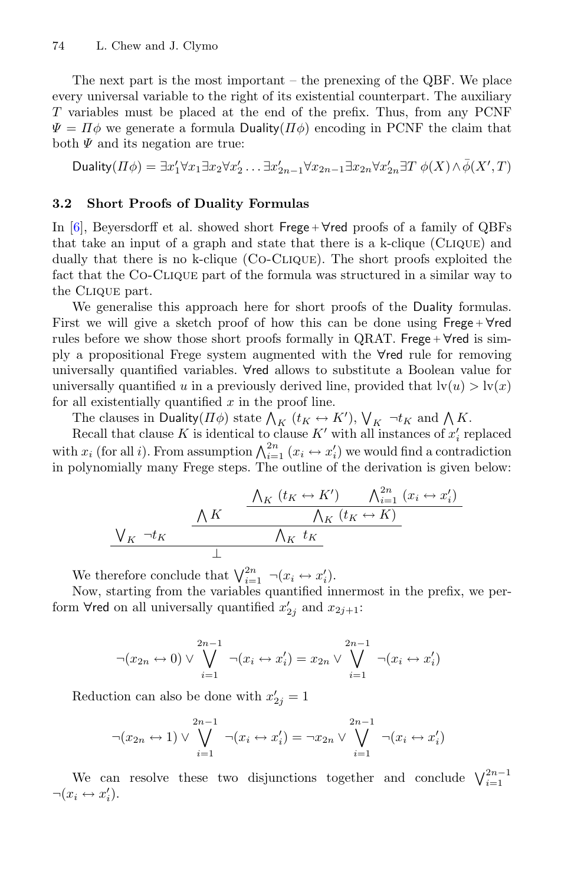The next part is the most important – the prenexing of the QBF. We place every universal variable to the right of its existential counterpart. The auxiliary T variables must be placed at the end of the prefix. Thus, from any PCNF  $\Psi = \Pi \phi$  we generate a formula Duality( $\Pi \phi$ ) encoding in PCNF the claim that both  $\Psi$  and its negation are true:

Duality $(\Pi \phi) = \exists x_1' \forall x_1 \exists x_2 \forall x_2' \dots \exists x_{2n-1}' \forall x_{2n-1} \exists x_{2n} \forall x_{2n}' \exists T \phi(X) \land \overline{\phi}(X', T)$ 

#### **3.2 Short Proofs of Duality Formulas**

In [\[6](#page-15-12)], Beyersdorff et al. showed short Frege <sup>+</sup> *∀*red proofs of a family of QBFs that take an input of a graph and state that there is a k-clique (Clique) and dually that there is no k-clique (Co-Clique). The short proofs exploited the fact that the Co-Clique part of the formula was structured in a similar way to the Clique part.

We generalise this approach here for short proofs of the Duality formulas. First we will give a sketch proof of how this can be done using Frege <sup>+</sup> *∀*red rules before we show those short proofs formally in QRAT. Frege <sup>+</sup> *∀*red is simply a propositional Frege system augmented with the *∀*red rule for removing universally quantified variables. *∀*red allows to substitute a Boolean value for universally quantified u in a previously derived line, provided that  $\text{lv}(u) > \text{lv}(x)$ for all existentially quantified  $x$  in the proof line.

The clauses in Duality  $(\Pi \phi)$  state  $\bigwedge_K (t_K \leftrightarrow K')$ ,  $\bigvee_K \neg t_K$  and  $\bigwedge K$ .

Recall that clause K is identical to clause  $K'$  with all instances of  $x_i'$  replaced with  $x_i$  (for all i). From assumption  $\bigwedge_{i=1}^{2n} (x_i \leftrightarrow x'_i)$  we would find a contradiction in polynomially many Frege steps. The outline of the derivation is given below:

$$
\frac{\wedge K \quad \frac{\wedge K \quad (t_K \leftrightarrow K') \quad \wedge_{i=1}^{2n} \ (x_i \leftrightarrow x_i')}{\wedge K \quad (t_K \leftrightarrow K)}
$$

We therefore conclude that  $\bigvee_{i=1}^{2n} \neg (x_i \leftrightarrow x'_i)$ .

Now, starting from the variables quantified innermost in the prefix, we perform  $\forall$ red on all universally quantified  $x'_{2j}$  and  $x_{2j+1}$ :

$$
\neg(x_{2n} \leftrightarrow 0) \vee \bigvee_{i=1}^{2n-1} \neg(x_i \leftrightarrow x'_i) = x_{2n} \vee \bigvee_{i=1}^{2n-1} \neg(x_i \leftrightarrow x'_i)
$$

Reduction can also be done with  $x'_{2j} = 1$ 

$$
\neg(x_{2n} \leftrightarrow 1) \vee \bigvee_{i=1}^{2n-1} \neg(x_i \leftrightarrow x'_i) = \neg x_{2n} \vee \bigvee_{i=1}^{2n-1} \neg(x_i \leftrightarrow x'_i)
$$

We can resolve these two disjunctions together and conclude  $\bigvee_{i=1}^{2n-1}$  $\neg(x_i \leftrightarrow x'_i).$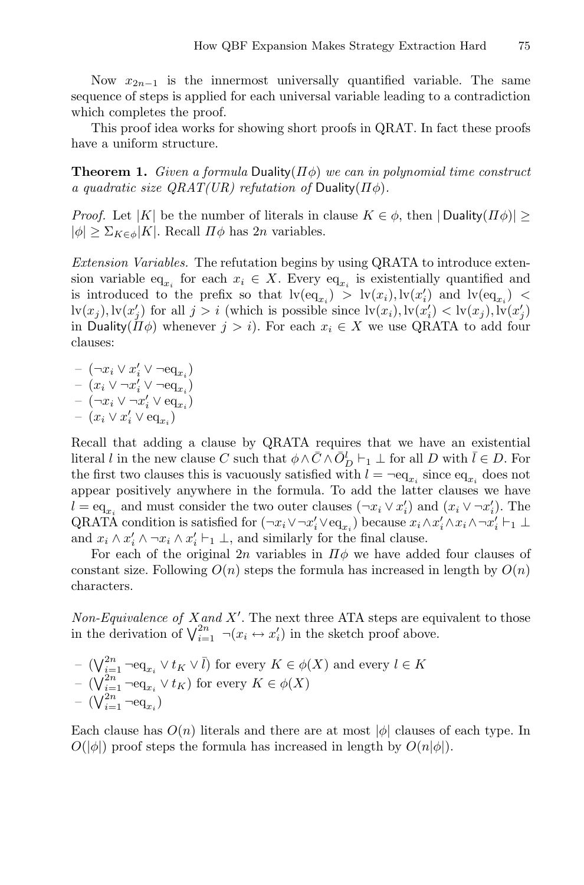Now  $x_{2n-1}$  is the innermost universally quantified variable. The same sequence of steps is applied for each universal variable leading to a contradiction which completes the proof.

<span id="page-9-0"></span>This proof idea works for showing short proofs in QRAT. In fact these proofs have a uniform structure.

**Theorem 1.** *Given a formula* Duality $(\Pi \phi)$  *we can in polynomial time construct a quadratic size QRAT(UR) refutation of* Duality( $\Pi \phi$ ).

*Proof.* Let |K| be the number of literals in clause  $K \in \phi$ , then  $|\text{Duality}(H\phi)| \ge$  $|\phi| \geq \sum_{K \in \phi} |K|$ . Recall  $\Pi \phi$  has  $2n$  variables.

*Extension Variables.* The refutation begins by using QRATA to introduce extension variable eq<sub>x<sub>i</sub></sub> for each  $x_i \in X$ . Every eq<sub>x<sub>i</sub></sub> is existentially quantified and is introduced to the prefix so that  $\text{lv}(eq_{x_i}) > \text{lv}(x_i), \text{lv}(x'_i)$  and  $\text{lv}(eq_{x_i}) <$  $\text{dv}(x_j), \text{dv}(x'_j)$  for all  $j>i$  (which is possible since  $\text{dv}(x_i), \text{dv}(x'_i) < \text{dv}(x_j), \text{dv}(x'_j)$ ) in Duality( $\Pi \phi$ ) whenever  $j>i$ ). For each  $x_i \in X$  we use QRATA to add four clauses:

 $(\neg x_i \lor x'_i \lor \neg \text{eq}_{x_i})$  $(x_i ∨ \neg x'_i ∨ \neg \text{eq}_{x_i})$  $(\neg x_i \vee \neg x'_i \vee \text{eq}_{x_i})$  $(x_i ∨ x'_i ∨ eq_{x_i})$ 

Recall that adding a clause by QRATA requires that we have an existential literal l in the new clause C such that  $\phi \wedge \bar{C} \wedge \bar{O}_D^l \vdash_1 \bot$  for all D with  $\bar{l} \in D$ . For the first two clauses this is vacuously satisfied with  $l = \neg \text{eq}_{x_i}$  since eq<sub>x<sub>i</sub></sub> does not appear positively anywhere in the formula. To add the latter clauses we have  $l = \mathbf{e} \mathbf{q}_{x_i}$  and must consider the two outer clauses  $(\neg x_i \lor x'_i)$  and  $(x_i \lor \neg x'_i)$ . The QRATA condition is satisfied for  $(\neg x_i \lor \neg x'_i \lor \neg a_{x_i})$  because  $x_i \land x'_i \land x_i \land \neg x'_i \vdash_1 \bot$ and  $x_i \wedge x'_i \wedge \neg x_i \wedge x'_i \vdash_1 \bot$ , and similarly for the final clause.

For each of the original 2n variables in  $\Pi\phi$  we have added four clauses of constant size. Following  $O(n)$  steps the formula has increased in length by  $O(n)$ characters.

*Non-Equivalence of* X*and* X . The next three ATA steps are equivalent to those in the derivation of  $\bigvee_{i=1}^{2n} \neg(x_i \leftrightarrow x'_i)$  in the sketch proof above.

- 
$$
(\bigvee_{i=1}^{2n} \neg \text{eq}_{x_i} \vee t_K \vee \overline{l})
$$
 for every  $K \in \phi(X)$  and every  $l \in K$   
\n-  $(\bigvee_{i=1}^{2n} \neg \text{eq}_{x_i} \vee t_K)$  for every  $K \in \phi(X)$   
\n-  $(\bigvee_{i=1}^{2n} \neg \text{eq}_{x_i})$ 

Each clause has  $O(n)$  literals and there are at most  $|\phi|$  clauses of each type. In  $O(|\phi|)$  proof steps the formula has increased in length by  $O(n|\phi|)$ .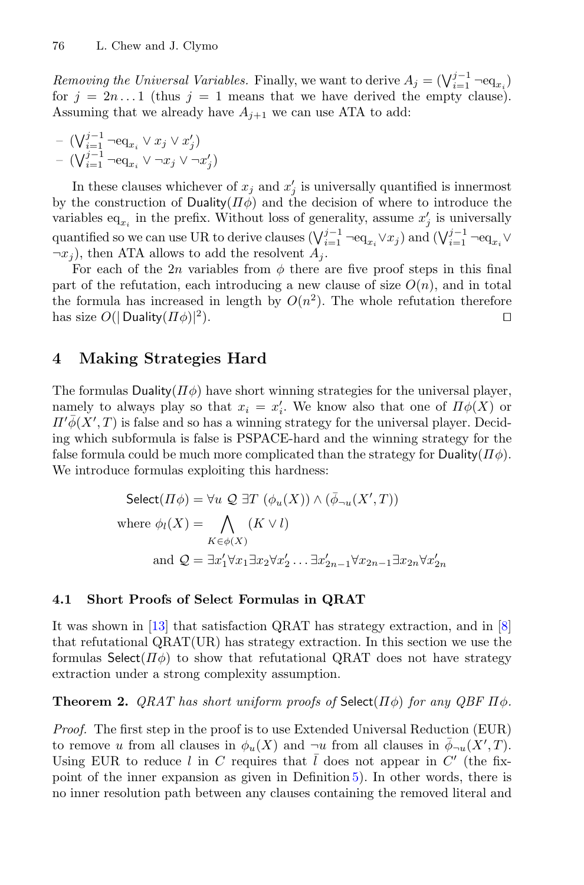*Removing the Universal Variables.* Finally, we want to derive  $A_j = (\bigvee_{i=1}^{j-1} \neg \text{eq}_{x_i})$ for  $j = 2n...1$  (thus  $j = 1$  means that we have derived the empty clause). Assuming that we already have  $A_{i+1}$  we can use ATA to add:

$$
- (\bigvee_{i=1}^{j-1} \neg \text{eq}_{x_i} \vee x_j \vee x'_j)
$$
  
- (\bigvee\_{i=1}^{j-1} \neg \text{eq}\_{x\_i} \vee \neg x\_j \vee \neg x'\_j)

In these clauses whichever of  $x_j$  and  $x'_j$  is universally quantified is innermost by the construction of Duality( $\Pi\phi$ ) and the decision of where to introduce the variables  $eq_{x_i}$  in the prefix. Without loss of generality, assume  $x'_j$  is universally quantified so we can use UR to derive clauses  $(\bigvee_{i=1}^{j-1} \neg \mathsf{eq}_{x_i} \vee x_j)$  and  $(\bigvee_{i=1}^{j-1} \neg \mathsf{eq}_{x_i} \vee x_j)$  $\neg x_i$ , then ATA allows to add the resolvent  $A_i$ .

For each of the 2n variables from  $\phi$  there are five proof steps in this final part of the refutation, each introducing a new clause of size  $O(n)$ , and in total the formula has increased in length by  $O(n^2)$ . The whole refutation therefore has size  $O(|\text{Duality}(H\phi)|^2)$ .  $\Box$ ).

# <span id="page-10-0"></span>**4 Making Strategies Hard**

The formulas Duality( $\Pi\phi$ ) have short winning strategies for the universal player, namely to always play so that  $x_i = x'_i$ . We know also that one of  $\Pi \phi(X)$  or  $\Pi' \overline{\phi}(X',T)$  is false and so has a winning strategy for the universal player. Deciding which subformula is false is PSPACE-hard and the winning strategy for the false formula could be much more complicated than the strategy for  $Duality(\Pi \phi)$ . We introduce formulas exploiting this hardness:

$$
\begin{aligned}\n\text{Select}(H\phi) &= \forall u \ Q \ \exists T \ (\phi_u(X)) \land (\bar{\phi}_{\neg u}(X', T)) \\
\text{where } \phi_l(X) &= \bigwedge_{K \in \phi(X)} (K \lor l) \\
\text{and } \mathcal{Q} &= \exists x'_1 \forall x_1 \exists x_2 \forall x'_2 \dots \exists x'_{2n-1} \forall x_{2n-1} \exists x_{2n} \forall x'_{2n}\n\end{aligned}
$$

#### **4.1 Short Proofs of Select Formulas in QRAT**

It was shown in [\[13](#page-15-7)] that satisfaction QRAT has strategy extraction, and in [\[8](#page-15-8)] that refutational QRAT(UR) has strategy extraction. In this section we use the formulas Select( $\Pi\phi$ ) to show that refutational QRAT does not have strategy extraction under a strong complexity assumption.

<span id="page-10-1"></span>**Theorem 2.** *QRAT has short uniform proofs of* Select( $\Pi\phi$ ) *for any QBF*  $\Pi\phi$ .

*Proof.* The first step in the proof is to use Extended Universal Reduction (EUR) to remove u from all clauses in  $\phi_u(X)$  and  $\neg u$  from all clauses in  $\bar{\phi}_{\neg u}(X',T)$ . Using EUR to reduce l in C requires that  $\overline{l}$  does not appear in C' (the fixpoint of the inner expansion as given in Definition [5\)](#page-6-1). In other words, there is no inner resolution path between any clauses containing the removed literal and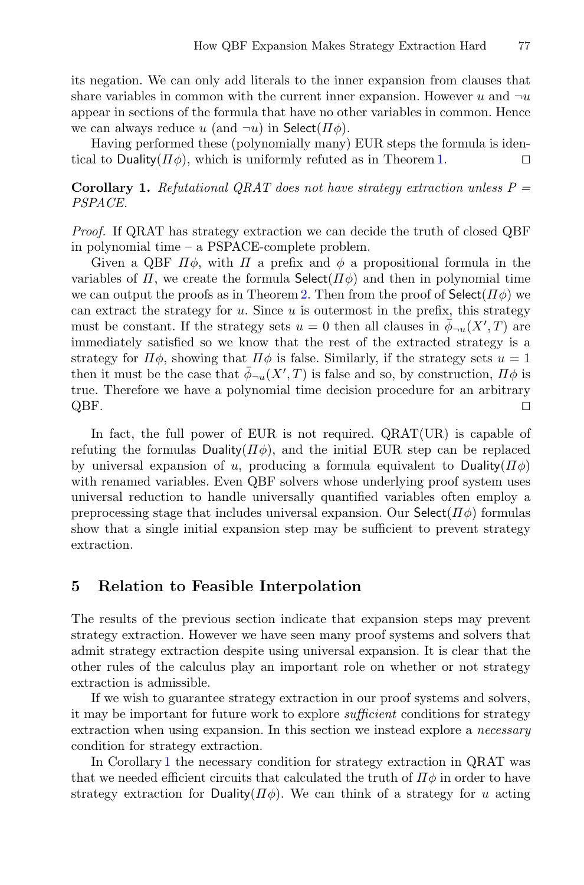its negation. We can only add literals to the inner expansion from clauses that share variables in common with the current inner expansion. However u and  $\neg u$ appear in sections of the formula that have no other variables in common. Hence we can always reduce u (and  $\neg u$ ) in Select( $\Pi \phi$ ).

Having performed these (polynomially many) EUR steps the formula is identical to Duality( $\Pi\phi$ ), which is uniformly refuted as in Theorem [1.](#page-9-0)

<span id="page-11-1"></span>**Corollary 1.** *Refutational QRAT does not have strategy extraction unless P = PSPACE.*

*Proof.* If QRAT has strategy extraction we can decide the truth of closed QBF in polynomial time – a PSPACE-complete problem.

Given a QBF  $\Pi \phi$ , with  $\Pi$  a prefix and  $\phi$  a propositional formula in the variables of  $\Pi$ , we create the formula Select( $\Pi\phi$ ) and then in polynomial time we can output the proofs as in Theorem [2.](#page-10-1) Then from the proof of  $\mathsf{Select}(H\phi)$  we can extract the strategy for  $u$ . Since  $u$  is outermost in the prefix, this strategy must be constant. If the strategy sets  $u = 0$  then all clauses in  $\bar{\phi}_{\neg u}(X', T)$  are immediately satisfied so we know that the rest of the extracted strategy is a strategy for  $\Pi\phi$ , showing that  $\Pi\phi$  is false. Similarly, if the strategy sets  $u=1$ then it must be the case that  $\bar{\phi}_{\neg u}(X',T)$  is false and so, by construction,  $\Pi\phi$  is true. Therefore we have a polynomial time decision procedure for an arbitrary QBF.

In fact, the full power of EUR is not required. QRAT(UR) is capable of refuting the formulas Duality( $\Pi\phi$ ), and the initial EUR step can be replaced by universal expansion of u, producing a formula equivalent to Duality( $\Pi \phi$ ) with renamed variables. Even QBF solvers whose underlying proof system uses universal reduction to handle universally quantified variables often employ a preprocessing stage that includes universal expansion. Our Select( $\Pi\phi$ ) formulas show that a single initial expansion step may be sufficient to prevent strategy extraction.

### <span id="page-11-0"></span>**5 Relation to Feasible Interpolation**

The results of the previous section indicate that expansion steps may prevent strategy extraction. However we have seen many proof systems and solvers that admit strategy extraction despite using universal expansion. It is clear that the other rules of the calculus play an important role on whether or not strategy extraction is admissible.

If we wish to guarantee strategy extraction in our proof systems and solvers, it may be important for future work to explore *sufficient* conditions for strategy extraction when using expansion. In this section we instead explore a *necessary* condition for strategy extraction.

In Corollary [1](#page-11-1) the necessary condition for strategy extraction in QRAT was that we needed efficient circuits that calculated the truth of  $\Pi\phi$  in order to have strategy extraction for Duality( $\Pi \phi$ ). We can think of a strategy for u acting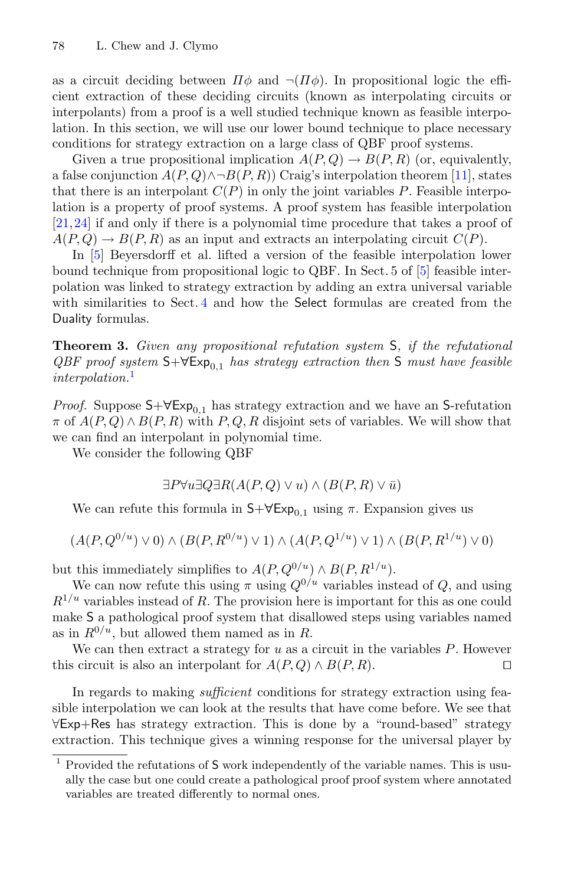as a circuit deciding between  $\Pi \phi$  and  $\neg(\Pi \phi)$ . In propositional logic the efficient extraction of these deciding circuits (known as interpolating circuits or interpolants) from a proof is a well studied technique known as feasible interpolation. In this section, we will use our lower bound technique to place necessary conditions for strategy extraction on a large class of QBF proof systems.

Given a true propositional implication  $A(P,Q) \to B(P,R)$  (or, equivalently, a false conjunction  $A(P,Q) \wedge \neg B(P,R)$  Craig's interpolation theorem [\[11](#page-15-13)], states that there is an interpolant  $C(P)$  in only the joint variables P. Feasible interpolation is a property of proof systems. A proof system has feasible interpolation [\[21](#page-16-5),[24\]](#page-16-6) if and only if there is a polynomial time procedure that takes a proof of  $A(P,Q) \to B(P,R)$  as an input and extracts an interpolating circuit  $C(P)$ .

In [\[5\]](#page-15-9) Beyersdorff et al. lifted a version of the feasible interpolation lower bound technique from propositional logic to QBF. In Sect. 5 of [\[5\]](#page-15-9) feasible interpolation was linked to strategy extraction by adding an extra universal variable with similarities to Sect. [4](#page-10-0) and how the Select formulas are created from the Duality formulas.

<span id="page-12-1"></span>**Theorem 3.** *Given any propositional refutation system* S*, if the refutational QBF proof system* S+ $\forall$ Exp<sub>0,1</sub> *has strategy extraction then* S *must have feasible interpolation.*[1](#page-12-0)

*Proof.* Suppose S+ $∀Exp_{0.1}$  has strategy extraction and we have an S-refutation  $\pi$  of  $A(P,Q) \wedge B(P,R)$  with  $P,Q,R$  disjoint sets of variables. We will show that we can find an interpolant in polynomial time.

We consider the following QBF

$$
\exists P \forall u \exists Q \exists R (A(P,Q) \lor u) \land (B(P,R) \lor \bar{u})
$$

We can refute this formula in  $S+\forall E \times p_{0,1}$  using  $\pi$ . Expansion gives us

$$
(A(P, Q^{0/u}) \vee 0) \wedge (B(P, R^{0/u}) \vee 1) \wedge (A(P, Q^{1/u}) \vee 1) \wedge (B(P, R^{1/u}) \vee 0)
$$

but this immediately simplifies to  $A(P, Q^{0/u}) \wedge B(P, R^{1/u})$ .

We can now refute this using  $\pi$  using  $Q^{0/u}$  variables instead of Q, and using  $R^{1/u}$  variables instead of R. The provision here is important for this as one could make S a pathological proof system that disallowed steps using variables named as in  $R^{0/u}$ , but allowed them named as in R.

We can then extract a strategy for  $u$  as a circuit in the variables  $P$ . However this circuit is also an interpolant for  $A(P,Q) \wedge B(P,R)$ .

In regards to making *sufficient* conditions for strategy extraction using feasible interpolation we can look at the results that have come before. We see that ∀Exp+Res has strategy extraction. This is done by a "round-based" strategy extraction. This technique gives a winning response for the universal player by

<span id="page-12-0"></span><sup>1</sup> Provided the refutations of S work independently of the variable names. This is usually the case but one could create a pathological proof proof system where annotated variables are treated differently to normal ones.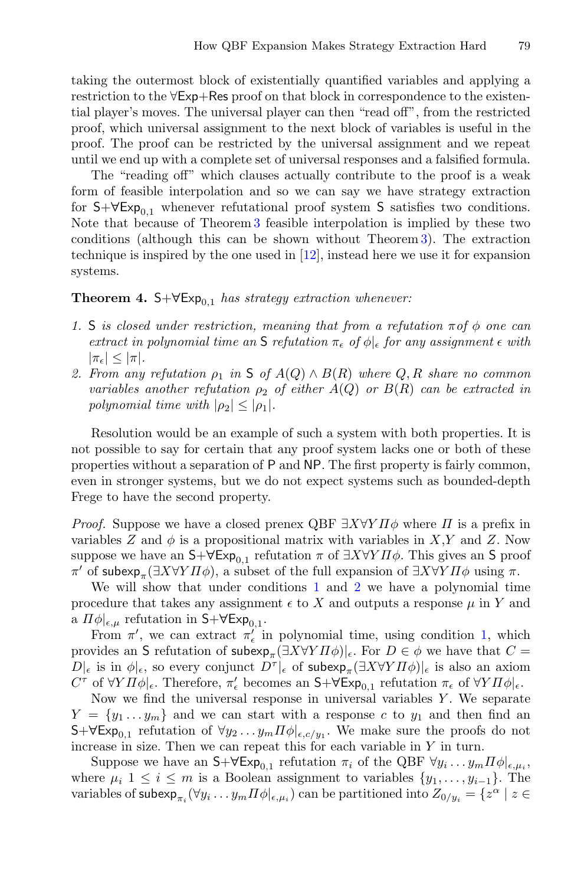taking the outermost block of existentially quantified variables and applying a restriction to the ∀Exp+Res proof on that block in correspondence to the existential player's moves. The universal player can then "read off", from the restricted proof, which universal assignment to the next block of variables is useful in the proof. The proof can be restricted by the universal assignment and we repeat until we end up with a complete set of universal responses and a falsified formula.

The "reading off" which clauses actually contribute to the proof is a weak form of feasible interpolation and so we can say we have strategy extraction for  $S+\forall E \times p_{0,1}$  whenever refutational proof system S satisfies two conditions. Note that because of Theorem [3](#page-12-1) feasible interpolation is implied by these two conditions (although this can be shown without Theorem [3\)](#page-12-1). The extraction technique is inspired by the one used in [\[12](#page-15-6)], instead here we use it for expansion systems.

#### Theorem 4. S+∀Exp<sub>0.1</sub> *has strategy extraction whenever:*

- <span id="page-13-0"></span>*1.* S *is closed under restriction, meaning that from a refutation* π*of* φ *one can extract in polynomial time an* S *refutation*  $\pi_{\epsilon}$  *of*  $\phi|_{\epsilon}$  *for any assignment*  $\epsilon$  *with*  $|\pi_{\epsilon}| \leq |\pi|$ .
- <span id="page-13-1"></span>2. From any refutation  $\rho_1$  in S of  $A(Q) \wedge B(R)$  where  $Q, R$  share no common *variables another refutation*  $\rho_2$  *of either*  $A(Q)$  *or*  $B(R)$  *can be extracted in polynomial time with*  $|\rho_2| \leq |\rho_1|$ *.*

Resolution would be an example of such a system with both properties. It is not possible to say for certain that any proof system lacks one or both of these properties without a separation of P and NP. The first property is fairly common, even in stronger systems, but we do not expect systems such as bounded-depth Frege to have the second property.

*Proof.* Suppose we have a closed prenex QBF  $\exists X \forall Y \Pi \phi$  where  $\Pi$  is a prefix in variables Z and  $\phi$  is a propositional matrix with variables in X,Y and Z. Now suppose we have an  $S+\forall E \times p_{0,1}$  refutation  $\pi$  of  $\exists X \forall Y \Pi \phi$ . This gives an S proof  $\pi'$  of subexp<sub>π</sub>( $\exists X \forall Y \Pi \phi$ ), a subset of the full expansion of  $\exists X \forall Y \Pi \phi$  using π.

We will show that under conditions [1](#page-13-0) and [2](#page-13-1) we have a polynomial time procedure that takes any assignment  $\epsilon$  to X and outputs a response  $\mu$  in Y and a  $\Pi\phi|_{\epsilon,\mu}$  refutation in S+ $\forall E \times p_{0,1}$ .

From  $\pi'$ , we can extract  $\pi'_{\epsilon}$  in polynomial time, using condition [1,](#page-13-0) which provides an S refutation of subexp<sub>π</sub> $(\exists X \forall Y \Pi \phi)|_{\epsilon}$ . For  $D \in \phi$  we have that  $C =$  $D|_{\epsilon}$  is in  $\phi|_{\epsilon}$ , so every conjunct  $D^{\tau}|_{\epsilon}$  of subexp $_{\tau}(\exists X \forall Y \Pi \phi)|_{\epsilon}$  is also an axiom  $C^{\tau}$  of  $\forall Y \Pi \phi |_{\epsilon}$ . Therefore,  $\pi'_{\epsilon}$  becomes an  $S + \forall E \times p_{0,1}$  refutation  $\pi_{\epsilon}$  of  $\forall Y \Pi \phi |_{\epsilon}$ .

Now we find the universal response in universal variables  $Y$ . We separate  $Y = \{y_1 \dots y_m\}$  and we can start with a response c to  $y_1$  and then find an  $S+\forall E \times p_{0,1}$  refutation of  $\forall y_2 \ldots y_m \Pi \phi |_{\epsilon,c/y_1}$ . We make sure the proofs do not increase in size. Then we can repeat this for each variable in  $Y$  in turn.

Suppose we have an  $S+\forall E \times p_{0,1}$  refutation  $\pi_i$  of the QBF  $\forall y_i \dots y_m \Pi \phi |_{\epsilon,\mu_i}$ , where  $\mu_i$  1  $\leq i \leq m$  is a Boolean assignment to variables  $\{y_1, \ldots, y_{i-1}\}$ . The variables of subexp<sub> $\pi_i$ </sub> ( $\forall y_i \dots y_m \Pi \phi |_{\epsilon,\mu_i}$ ) can be partitioned into  $Z_{0/y_i} = \{z^{\alpha} \mid z \in I\}$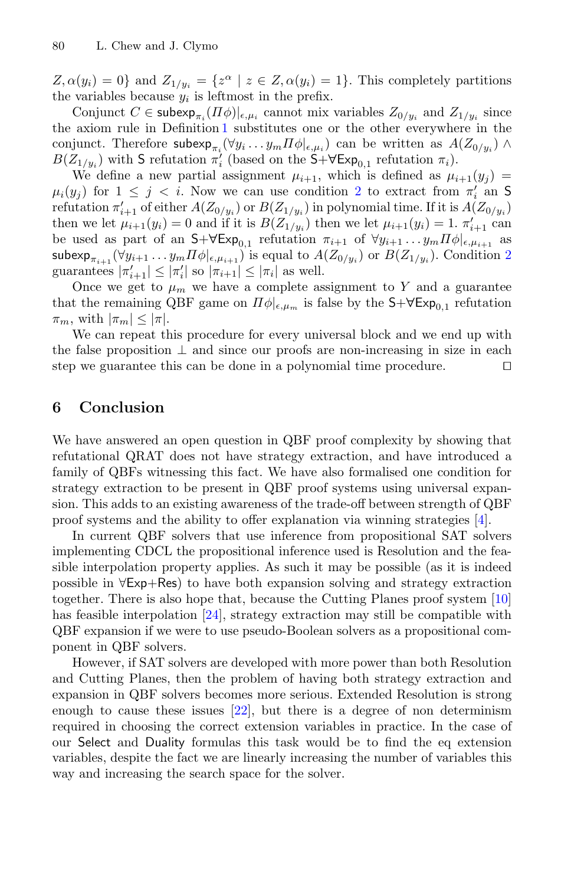$Z, \alpha(y_i)=0$ } and  $Z_{1/y_i} = \{z^{\alpha} \mid z \in Z, \alpha(y_i)=1\}$ . This completely partitions the variables because  $y_i$  is leftmost in the prefix.

Conjunct  $C \in \text{subexp}_{\pi_i}(\Pi \phi)|_{\epsilon,\mu_i}$  cannot mix variables  $Z_{0/u_i}$  and  $Z_{1/u_i}$  since the axiom rule in Definition [1](#page-5-0) substitutes one or the other everywhere in the conjunct. Therefore subexp<sub>πi</sub> ( $\forall y_i \dots y_m \Pi \phi |_{\epsilon,\mu_i}$ ) can be written as  $A(Z_{0/u_i}) \wedge$  $B(Z_{1/y_i})$  with S refutation  $\pi'_i$  (based on the S+ $\forall E \times p_{0,1}$  refutation  $\pi_i$ ).

We define a new partial assignment  $\mu_{i+1}$ , which is defined as  $\mu_{i+1}(y_i)$  =  $\mu_i(y_j)$  for  $1 \leq j \leq i$ . Now we can use condition [2](#page-13-1) to extract from  $\pi'_i$  an S refutation  $\pi'_{i+1}$  of either  $A(Z_{0/y_i})$  or  $B(Z_{1/y_i})$  in polynomial time. If it is  $A(Z_{0/y_i})$ then we let  $\mu_{i+1}(y_i) = 0$  and if it is  $B(Z_{1/y_i})$  then we let  $\mu_{i+1}(y_i) = 1$ .  $\pi'_{i+1}$  can be used as part of an  $S+\forall E \times p_{0,1}$  refutation  $\pi_{i+1}$  of  $\forall y_{i+1} \dots y_m \Pi \phi |_{\epsilon,\mu_{i+1}}$  as subexp<sub> $\pi_{i+1}$ </sub> ( $\forall y_{i+1}$ ...  $y_m \Pi \phi |_{\epsilon,\mu_{i+1}}$ ) is equal to  $A(Z_{0/y_i})$  or  $B(Z_{1/y_i})$ . Condition [2](#page-13-1) guarantees  $|\pi'_{i+1}| \leq |\pi'_{i}|$  so  $|\pi_{i+1}| \leq |\pi_{i}|$  as well.

Once we get to  $\mu_m$  we have a complete assignment to Y and a guarantee that the remaining QBF game on  $\Pi \phi |_{\epsilon,\mu_m}$  is false by the  $\mathsf{S}+\forall \mathsf{Exp}_{0,1}$  refutation  $\pi_m$ , with  $|\pi_m| \leq |\pi|$ .

We can repeat this procedure for every universal block and we end up with the false proposition  $\perp$  and since our proofs are non-increasing in size in each step we guarantee this can be done in a polynomial time procedure step we guarantee this can be done in a polynomial time procedure.

# **6 Conclusion**

We have answered an open question in QBF proof complexity by showing that refutational QRAT does not have strategy extraction, and have introduced a family of QBFs witnessing this fact. We have also formalised one condition for strategy extraction to be present in QBF proof systems using universal expansion. This adds to an existing awareness of the trade-off between strength of QBF proof systems and the ability to offer explanation via winning strategies [\[4\]](#page-15-1).

In current QBF solvers that use inference from propositional SAT solvers implementing CDCL the propositional inference used is Resolution and the feasible interpolation property applies. As such it may be possible (as it is indeed possible in ∀Exp+Res) to have both expansion solving and strategy extraction together. There is also hope that, because the Cutting Planes proof system [\[10](#page-15-14)] has feasible interpolation [\[24\]](#page-16-6), strategy extraction may still be compatible with QBF expansion if we were to use pseudo-Boolean solvers as a propositional component in QBF solvers.

However, if SAT solvers are developed with more power than both Resolution and Cutting Planes, then the problem of having both strategy extraction and expansion in QBF solvers becomes more serious. Extended Resolution is strong enough to cause these issues  $[22]$  $[22]$ , but there is a degree of non determinism required in choosing the correct extension variables in practice. In the case of our Select and Duality formulas this task would be to find the eq extension variables, despite the fact we are linearly increasing the number of variables this way and increasing the search space for the solver.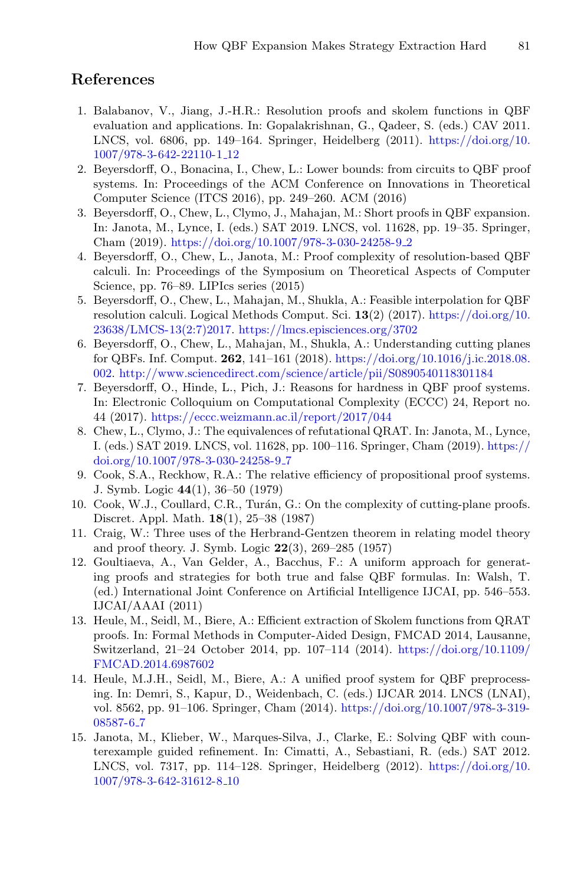# **References**

- <span id="page-15-3"></span>1. Balabanov, V., Jiang, J.-H.R.: Resolution proofs and skolem functions in QBF evaluation and applications. In: Gopalakrishnan, G., Qadeer, S. (eds.) CAV 2011. LNCS, vol. 6806, pp. 149–164. Springer, Heidelberg (2011). [https://doi.org/10.](https://doi.org/10.1007/978-3-642-22110-1_12) [1007/978-3-642-22110-1](https://doi.org/10.1007/978-3-642-22110-1_12) 12
- <span id="page-15-4"></span>2. Beyersdorff, O., Bonacina, I., Chew, L.: Lower bounds: from circuits to QBF proof systems. In: Proceedings of the ACM Conference on Innovations in Theoretical Computer Science (ITCS 2016), pp. 249–260. ACM (2016)
- <span id="page-15-2"></span>3. Beyersdorff, O., Chew, L., Clymo, J., Mahajan, M.: Short proofs in QBF expansion. In: Janota, M., Lynce, I. (eds.) SAT 2019. LNCS, vol. 11628, pp. 19–35. Springer, Cham (2019). [https://doi.org/10.1007/978-3-030-24258-9](https://doi.org/10.1007/978-3-030-24258-9_2) 2
- <span id="page-15-1"></span>4. Beyersdorff, O., Chew, L., Janota, M.: Proof complexity of resolution-based QBF calculi. In: Proceedings of the Symposium on Theoretical Aspects of Computer Science, pp. 76–89. LIPIcs series (2015)
- <span id="page-15-9"></span>5. Beyersdorff, O., Chew, L., Mahajan, M., Shukla, A.: Feasible interpolation for QBF resolution calculi. Logical Methods Comput. Sci. **13**(2) (2017). [https://doi.org/10.](https://doi.org/10.23638/LMCS-13(2:7)2017) [23638/LMCS-13\(2:7\)2017.](https://doi.org/10.23638/LMCS-13(2:7)2017) <https://lmcs.episciences.org/3702>
- <span id="page-15-12"></span>6. Beyersdorff, O., Chew, L., Mahajan, M., Shukla, A.: Understanding cutting planes for QBFs. Inf. Comput. **262**, 141–161 (2018). [https://doi.org/10.1016/j.ic.2018.08.](https://doi.org/10.1016/j.ic.2018.08.002) [002.](https://doi.org/10.1016/j.ic.2018.08.002) <http://www.sciencedirect.com/science/article/pii/S0890540118301184>
- <span id="page-15-5"></span>7. Beyersdorff, O., Hinde, L., Pich, J.: Reasons for hardness in QBF proof systems. In: Electronic Colloquium on Computational Complexity (ECCC) 24, Report no. 44 (2017). <https://eccc.weizmann.ac.il/report/2017/044>
- <span id="page-15-8"></span>8. Chew, L., Clymo, J.: The equivalences of refutational QRAT. In: Janota, M., Lynce, I. (eds.) SAT 2019. LNCS, vol. 11628, pp. 100–116. Springer, Cham (2019). [https://](https://doi.org/10.1007/978-3-030-24258-9_7) [doi.org/10.1007/978-3-030-24258-9](https://doi.org/10.1007/978-3-030-24258-9_7) 7
- <span id="page-15-10"></span>9. Cook, S.A., Reckhow, R.A.: The relative efficiency of propositional proof systems. J. Symb. Logic **44**(1), 36–50 (1979)
- <span id="page-15-14"></span>10. Cook, W.J., Coullard, C.R., Turán, G.: On the complexity of cutting-plane proofs. Discret. Appl. Math. **18**(1), 25–38 (1987)
- <span id="page-15-13"></span>11. Craig, W.: Three uses of the Herbrand-Gentzen theorem in relating model theory and proof theory. J. Symb. Logic **22**(3), 269–285 (1957)
- <span id="page-15-6"></span>12. Goultiaeva, A., Van Gelder, A., Bacchus, F.: A uniform approach for generating proofs and strategies for both true and false QBF formulas. In: Walsh, T. (ed.) International Joint Conference on Artificial Intelligence IJCAI, pp. 546–553. IJCAI/AAAI (2011)
- <span id="page-15-7"></span>13. Heule, M., Seidl, M., Biere, A.: Efficient extraction of Skolem functions from QRAT proofs. In: Formal Methods in Computer-Aided Design, FMCAD 2014, Lausanne, Switzerland, 21–24 October 2014, pp. 107–114 (2014). [https://doi.org/10.1109/](https://doi.org/10.1109/FMCAD.2014.6987602) [FMCAD.2014.6987602](https://doi.org/10.1109/FMCAD.2014.6987602)
- <span id="page-15-0"></span>14. Heule, M.J.H., Seidl, M., Biere, A.: A unified proof system for QBF preprocessing. In: Demri, S., Kapur, D., Weidenbach, C. (eds.) IJCAR 2014. LNCS (LNAI), vol. 8562, pp. 91–106. Springer, Cham (2014). [https://doi.org/10.1007/978-3-319-](https://doi.org/10.1007/978-3-319-08587-6_7) [08587-6](https://doi.org/10.1007/978-3-319-08587-6_7)<sub>-7</sub>
- <span id="page-15-11"></span>15. Janota, M., Klieber, W., Marques-Silva, J., Clarke, E.: Solving QBF with counterexample guided refinement. In: Cimatti, A., Sebastiani, R. (eds.) SAT 2012. LNCS, vol. 7317, pp. 114–128. Springer, Heidelberg (2012). [https://doi.org/10.](https://doi.org/10.1007/978-3-642-31612-8_10) [1007/978-3-642-31612-8](https://doi.org/10.1007/978-3-642-31612-8_10) 10